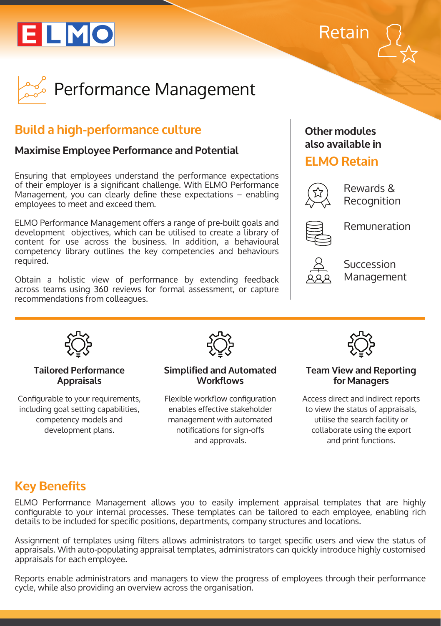# ELMO





# **Build a high-performance culture**

## **Maximise Employee Performance and Potential**

Ensuring that employees understand the performance expectations of their employer is a significant challenge. With ELMO Performance Management, you can clearly define these expectations – enabling employees to meet and exceed them.

ELMO Performance Management offers a range of pre-built goals and development objectives, which can be utilised to create a library of content for use across the business. In addition, a behavioural competency library outlines the key competencies and behaviours required.

Obtain a holistic view of performance by extending feedback across teams using 360 reviews for formal assessment, or capture recommendations from colleagues.

### **Other modules also available in**

## **ELMO Retain**



Rewards & Recognition

Remuneration



Succession Management



#### **Tailored Performance Appraisals**

Configurable to your requirements, including goal setting capabilities, competency models and development plans.



#### **Simplified and Automated Workflows**

Flexible workflow configuration enables effective stakeholder management with automated notifications for sign-offs and approvals.



#### **Team View and Reporting for Managers**

Access direct and indirect reports to view the status of appraisals, utilise the search facility or collaborate using the export and print functions.

## **Key Benefits**

ELMO Performance Management allows you to easily implement appraisal templates that are highly configurable to your internal processes. These templates can be tailored to each employee, enabling rich details to be included for specific positions, departments, company structures and locations.

Assignment of templates using filters allows administrators to target specific users and view the status of appraisals. With auto-populating appraisal templates, administrators can quickly introduce highly customised appraisals for each employee.

Reports enable administrators and managers to view the progress of employees through their performance cycle, while also providing an overview across the organisation.